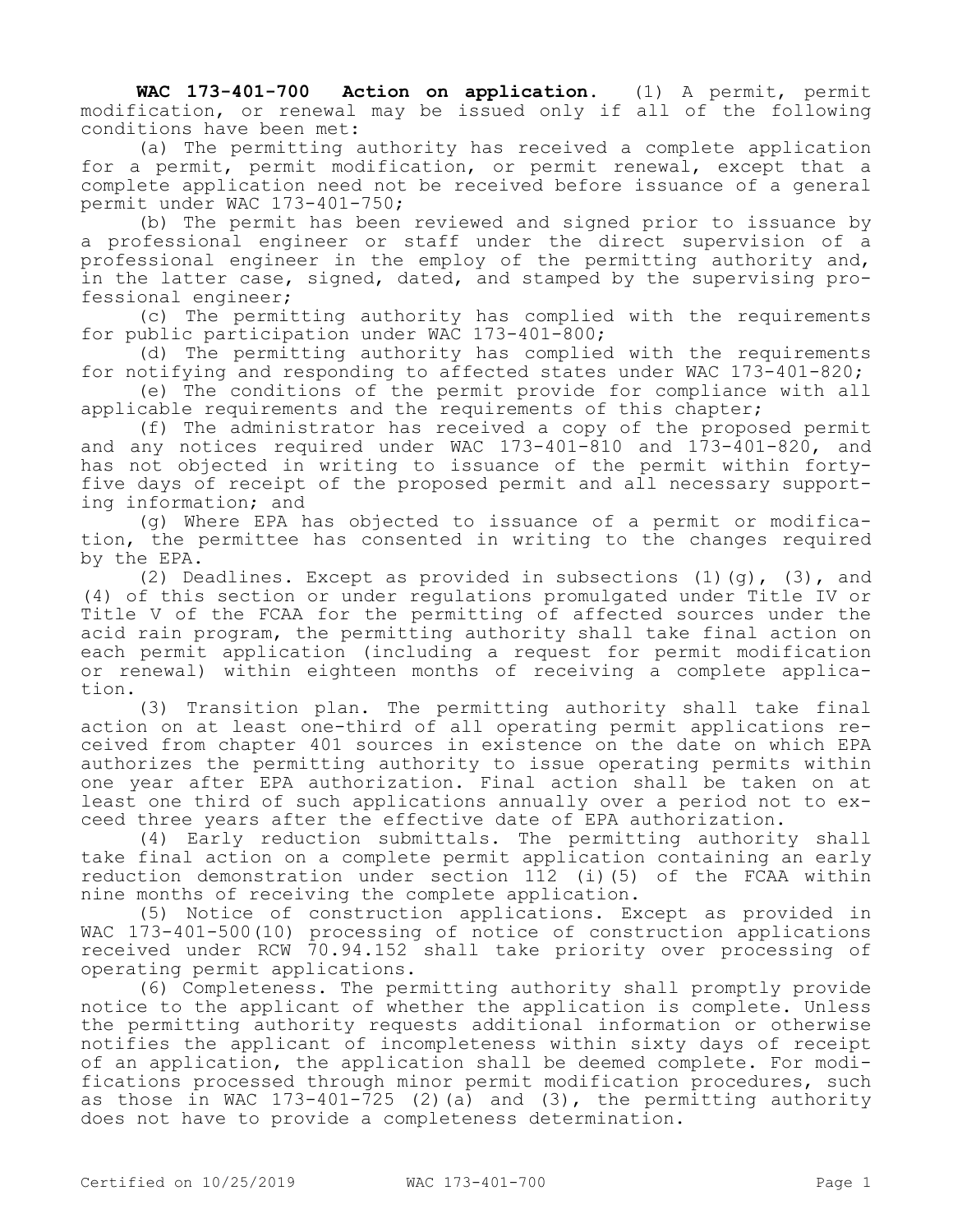**WAC 173-401-700 Action on application.** (1) A permit, permit modification, or renewal may be issued only if all of the following conditions have been met:

(a) The permitting authority has received a complete application for a permit, permit modification, or permit renewal, except that a complete application need not be received before issuance of a general permit under WAC 173-401-750;

(b) The permit has been reviewed and signed prior to issuance by a professional engineer or staff under the direct supervision of a professional engineer in the employ of the permitting authority and, in the latter case, signed, dated, and stamped by the supervising professional engineer;

(c) The permitting authority has complied with the requirements for public participation under WAC 173-401-800;

(d) The permitting authority has complied with the requirements for notifying and responding to affected states under WAC 173-401-820;

(e) The conditions of the permit provide for compliance with all applicable requirements and the requirements of this chapter;

(f) The administrator has received a copy of the proposed permit and any notices required under WAC 173-401-810 and 173-401-820, and has not objected in writing to issuance of the permit within fortyfive days of receipt of the proposed permit and all necessary supporting information; and

(g) Where EPA has objected to issuance of a permit or modification, the permittee has consented in writing to the changes required by the EPA.

(2) Deadlines. Except as provided in subsections  $(1)(q)$ ,  $(3)$ , and (4) of this section or under regulations promulgated under Title IV or Title V of the FCAA for the permitting of affected sources under the acid rain program, the permitting authority shall take final action on each permit application (including a request for permit modification or renewal) within eighteen months of receiving a complete application.

(3) Transition plan. The permitting authority shall take final action on at least one-third of all operating permit applications received from chapter 401 sources in existence on the date on which EPA authorizes the permitting authority to issue operating permits within one year after EPA authorization. Final action shall be taken on at least one third of such applications annually over a period not to exceed three years after the effective date of EPA authorization.

(4) Early reduction submittals. The permitting authority shall take final action on a complete permit application containing an early reduction demonstration under section 112 (i)(5) of the FCAA within nine months of receiving the complete application.

(5) Notice of construction applications. Except as provided in WAC 173-401-500(10) processing of notice of construction applications received under RCW 70.94.152 shall take priority over processing of operating permit applications.

(6) Completeness. The permitting authority shall promptly provide notice to the applicant of whether the application is complete. Unless the permitting authority requests additional information or otherwise notifies the applicant of incompleteness within sixty days of receipt of an application, the application shall be deemed complete. For modifications processed through minor permit modification procedures, such as those in WAC 173-401-725 (2)(a) and (3), the permitting authority does not have to provide a completeness determination.